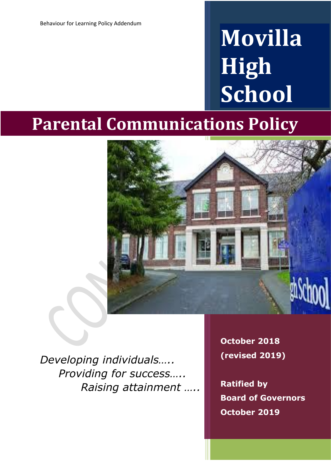# **Movilla High School**

## **Parental Communications Policy**



*Developing individuals….. Providing for success….. Raising attainment …..* **October 2018 (revised 2019)**

**Ratified by Board of Governors October 2019**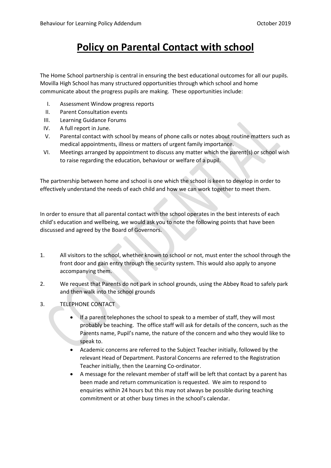### **Policy on Parental Contact with school**

The Home School partnership is central in ensuring the best educational outcomes for all our pupils. Movilla High School has many structured opportunities through which school and home communicate about the progress pupils are making. These opportunities include:

- I. Assessment Window progress reports
- II. Parent Consultation events
- III. Learning Guidance Forums
- IV. A full report in June.
- V. Parental contact with school by means of phone calls or notes about routine matters such as medical appointments, illness or matters of urgent family importance.
- VI. Meetings arranged by appointment to discuss any matter which the parent(s) or school wish to raise regarding the education, behaviour or welfare of a pupil.

The partnership between home and school is one which the school is keen to develop in order to effectively understand the needs of each child and how we can work together to meet them.

In order to ensure that all parental contact with the school operates in the best interests of each child's education and wellbeing, we would ask you to note the following points that have been discussed and agreed by the Board of Governors.

- 1. All visitors to the school, whether known to school or not, must enter the school through the front door and gain entry through the security system. This would also apply to anyone accompanying them.
- 2. We request that Parents do not park in school grounds, using the Abbey Road to safely park and then walk into the school grounds
- 3. TELEPHONE CONTACT
	- If a parent telephones the school to speak to a member of staff, they will most probably be teaching. The office staff will ask for details of the concern, such as the Parents name, Pupil's name, the nature of the concern and who they would like to speak to.
	- Academic concerns are referred to the Subject Teacher initially, followed by the relevant Head of Department. Pastoral Concerns are referred to the Registration Teacher initially, then the Learning Co-ordinator.
	- A message for the relevant member of staff will be left that contact by a parent has been made and return communication is requested. We aim to respond to enquiries within 24 hours but this may not always be possible during teaching commitment or at other busy times in the school's calendar.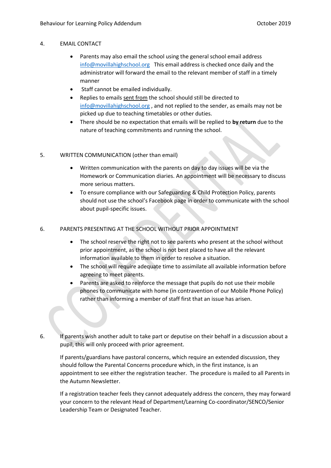#### 4. EMAIL CONTACT

- Parents may also email the school using the general school email address [info@movillahighschool.org](mailto:info@movillahighschool.org) This email address is checked once daily and the administrator will forward the email to the relevant member of staff in a timely manner
- Staff cannot be emailed individually.
- Replies to emails sent from the school should still be directed to [info@movillahighschool.org](mailto:info@movillahighschool.org), and not replied to the sender, as emails may not be picked up due to teaching timetables or other duties.
- There should be no expectation that emails will be replied to **by return** due to the nature of teaching commitments and running the school.

#### 5. WRITTEN COMMUNICATION (other than email)

- Written communication with the parents on day to day issues will be via the Homework or Communication diaries. An appointment will be necessary to discuss more serious matters.
- To ensure compliance with our Safeguarding & Child Protection Policy, parents should not use the school's Facebook page in order to communicate with the school about pupil-specific issues.

#### 6. PARENTS PRESENTING AT THE SCHOOL WITHOUT PRIOR APPOINTMENT

- The school reserve the right not to see parents who present at the school without prior appointment, as the school is not best placed to have all the relevant information available to them in order to resolve a situation.
- The school will require adequate time to assimilate all available information before agreeing to meet parents.
- Parents are asked to reinforce the message that pupils do not use their mobile phones to communicate with home (in contravention of our Mobile Phone Policy) rather than informing a member of staff first that an issue has arisen.
- 6. If parents wish another adult to take part or deputise on their behalf in a discussion about a pupil, this will only proceed with prior agreement.

If parents/guardians have pastoral concerns, which require an extended discussion, they should follow the Parental Concerns procedure which, in the first instance, is an appointment to see either the registration teacher. The procedure is mailed to all Parents in the Autumn Newsletter.

If a registration teacher feels they cannot adequately address the concern, they may forward your concern to the relevant Head of Department/Learning Co-coordinator/SENCO/Senior Leadership Team or Designated Teacher.